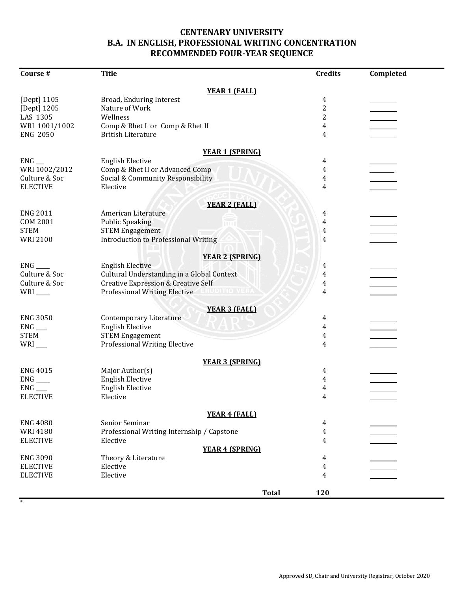## **CENTENARY UNIVERSITY B.A. IN ENGLISH, PROFESSIONAL WRITING CONCENTRATION RECOMMENDED FOUR-YEAR SEQUENCE**

| Course #              | <b>Title</b>                                   | <b>Credits</b> | Completed |
|-----------------------|------------------------------------------------|----------------|-----------|
|                       | <b>YEAR 1 (FALL)</b>                           |                |           |
| [Dept] 1105           | Broad, Enduring Interest                       | 4              |           |
| [Dept] 1205           | Nature of Work                                 | $\overline{c}$ |           |
| LAS 1305              | Wellness                                       | 2              |           |
|                       |                                                |                |           |
| WRI 1001/1002         | Comp & Rhet I or Comp & Rhet II                | 4              |           |
| <b>ENG 2050</b>       | <b>British Literature</b>                      | 4              |           |
|                       | <b>YEAR 1 (SPRING)</b>                         |                |           |
| $ENG$ <sub>___</sub>  | <b>English Elective</b>                        | 4              |           |
| WRI 1002/2012         | Comp & Rhet II or Advanced Comp                | 4              |           |
| Culture & Soc         | Social & Community Responsibility              | 4              |           |
| <b>ELECTIVE</b>       | Elective                                       | 4              |           |
|                       |                                                |                |           |
|                       | <b>YEAR 2 (FALL)</b>                           |                |           |
| <b>ENG 2011</b>       | American Literature                            | 4              |           |
| <b>COM 2001</b>       | <b>Public Speaking</b>                         | 4              |           |
| <b>STEM</b>           | <b>STEM Engagement</b>                         | $\overline{4}$ |           |
| <b>WRI 2100</b>       | <b>Introduction to Professional Writing</b>    | 4              |           |
|                       | <b>YEAR 2 (SPRING)</b>                         |                |           |
| $ENG$ <sub>___</sub>  | <b>English Elective</b>                        | 4              |           |
| Culture & Soc         | Cultural Understanding in a Global Context     | 4              |           |
| Culture & Soc         | <b>Creative Expression &amp; Creative Self</b> |                |           |
|                       |                                                | 4              |           |
| $WRI$ <sub>____</sub> | <b>Professional Writing Elective</b>           | 4              |           |
|                       | <b>YEAR 3 (FALL)</b>                           |                |           |
| <b>ENG 3050</b>       | <b>Contemporary Literature</b>                 | 4              |           |
| $ENG$ <sub>__</sub>   | <b>English Elective</b>                        | 4              |           |
| <b>STEM</b>           | <b>STEM Engagement</b>                         | 4              |           |
| $WRI$ <sub>--</sub>   | <b>Professional Writing Elective</b>           | 4              |           |
|                       |                                                |                |           |
|                       | <b>YEAR 3 (SPRING)</b>                         |                |           |
| <b>ENG 4015</b>       | Major Author(s)                                | 4              |           |
| $ENG$ <sub>___</sub>  | <b>English Elective</b>                        | 4              |           |
| $ENG$ <sub>___</sub>  | <b>English Elective</b>                        | 4              |           |
| <b>ELECTIVE</b>       | Elective                                       | 4              |           |
|                       |                                                |                |           |
|                       | <b>YEAR 4 (FALL)</b>                           |                |           |
| <b>ENG 4080</b>       | Senior Seminar                                 | 4              |           |
| <b>WRI4180</b>        | Professional Writing Internship / Capstone     | 4              |           |
| <b>ELECTIVE</b>       | Elective                                       | 4              |           |
|                       | <b>YEAR 4 (SPRING)</b>                         |                |           |
| <b>ENG 3090</b>       | Theory & Literature                            | 4              |           |
| <b>ELECTIVE</b>       | Elective                                       | 4              |           |
| <b>ELECTIVE</b>       | Elective                                       | 4              |           |
|                       |                                                |                |           |
|                       | <b>Total</b>                                   | 120            |           |

\*